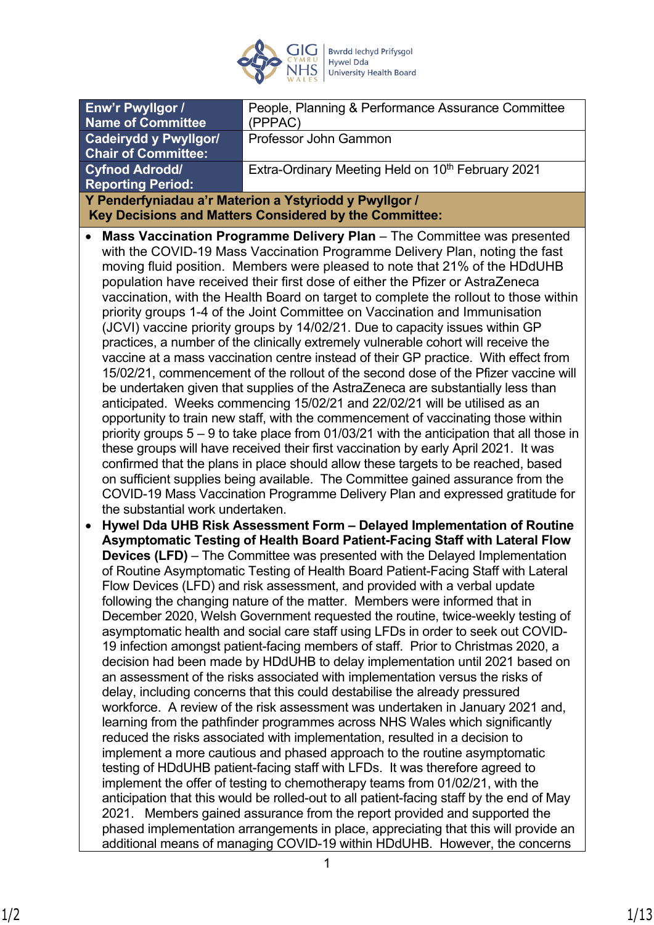

| Enw'r Pwyllgor /<br><b>Name of Committee</b>                                                                                                                                                                                                                                                                                                                                                                                                                                                                                                                                                                                                                                                                                                                                                                                                                                                                                                                                                                                                                                                                                                                                                                                                                                                                                                                                                                                                                                                                                                                                                                                                                                                                                                                                                                                                                                                                                                                                                                                                                                                                                                                                                                                                                                                                                                                                                                                                                                                                                                                                                                                                                                                                                                                                                                                                                                                                                                                                                                                                                                                                                                                                                                                                                                                                                                                                                                                                                                                                                                                                   | People, Planning & Performance Assurance Committee<br>(PPPAC) |  |  |
|--------------------------------------------------------------------------------------------------------------------------------------------------------------------------------------------------------------------------------------------------------------------------------------------------------------------------------------------------------------------------------------------------------------------------------------------------------------------------------------------------------------------------------------------------------------------------------------------------------------------------------------------------------------------------------------------------------------------------------------------------------------------------------------------------------------------------------------------------------------------------------------------------------------------------------------------------------------------------------------------------------------------------------------------------------------------------------------------------------------------------------------------------------------------------------------------------------------------------------------------------------------------------------------------------------------------------------------------------------------------------------------------------------------------------------------------------------------------------------------------------------------------------------------------------------------------------------------------------------------------------------------------------------------------------------------------------------------------------------------------------------------------------------------------------------------------------------------------------------------------------------------------------------------------------------------------------------------------------------------------------------------------------------------------------------------------------------------------------------------------------------------------------------------------------------------------------------------------------------------------------------------------------------------------------------------------------------------------------------------------------------------------------------------------------------------------------------------------------------------------------------------------------------------------------------------------------------------------------------------------------------------------------------------------------------------------------------------------------------------------------------------------------------------------------------------------------------------------------------------------------------------------------------------------------------------------------------------------------------------------------------------------------------------------------------------------------------------------------------------------------------------------------------------------------------------------------------------------------------------------------------------------------------------------------------------------------------------------------------------------------------------------------------------------------------------------------------------------------------------------------------------------------------------------------------------------------------|---------------------------------------------------------------|--|--|
| <b>Cadeirydd y Pwyllgor/</b><br><b>Chair of Committee:</b>                                                                                                                                                                                                                                                                                                                                                                                                                                                                                                                                                                                                                                                                                                                                                                                                                                                                                                                                                                                                                                                                                                                                                                                                                                                                                                                                                                                                                                                                                                                                                                                                                                                                                                                                                                                                                                                                                                                                                                                                                                                                                                                                                                                                                                                                                                                                                                                                                                                                                                                                                                                                                                                                                                                                                                                                                                                                                                                                                                                                                                                                                                                                                                                                                                                                                                                                                                                                                                                                                                                     | Professor John Gammon                                         |  |  |
| <b>Cyfnod Adrodd/</b><br><b>Reporting Period:</b>                                                                                                                                                                                                                                                                                                                                                                                                                                                                                                                                                                                                                                                                                                                                                                                                                                                                                                                                                                                                                                                                                                                                                                                                                                                                                                                                                                                                                                                                                                                                                                                                                                                                                                                                                                                                                                                                                                                                                                                                                                                                                                                                                                                                                                                                                                                                                                                                                                                                                                                                                                                                                                                                                                                                                                                                                                                                                                                                                                                                                                                                                                                                                                                                                                                                                                                                                                                                                                                                                                                              | Extra-Ordinary Meeting Held on 10 <sup>th</sup> February 2021 |  |  |
|                                                                                                                                                                                                                                                                                                                                                                                                                                                                                                                                                                                                                                                                                                                                                                                                                                                                                                                                                                                                                                                                                                                                                                                                                                                                                                                                                                                                                                                                                                                                                                                                                                                                                                                                                                                                                                                                                                                                                                                                                                                                                                                                                                                                                                                                                                                                                                                                                                                                                                                                                                                                                                                                                                                                                                                                                                                                                                                                                                                                                                                                                                                                                                                                                                                                                                                                                                                                                                                                                                                                                                                |                                                               |  |  |
| Y Penderfyniadau a'r Materion a Ystyriodd y Pwyllgor /<br>Key Decisions and Matters Considered by the Committee:<br>Mass Vaccination Programme Delivery Plan - The Committee was presented<br>with the COVID-19 Mass Vaccination Programme Delivery Plan, noting the fast<br>moving fluid position. Members were pleased to note that 21% of the HDdUHB<br>population have received their first dose of either the Pfizer or AstraZeneca<br>vaccination, with the Health Board on target to complete the rollout to those within<br>priority groups 1-4 of the Joint Committee on Vaccination and Immunisation<br>(JCVI) vaccine priority groups by 14/02/21. Due to capacity issues within GP<br>practices, a number of the clinically extremely vulnerable cohort will receive the<br>vaccine at a mass vaccination centre instead of their GP practice. With effect from<br>15/02/21, commencement of the rollout of the second dose of the Pfizer vaccine will<br>be undertaken given that supplies of the AstraZeneca are substantially less than<br>anticipated. Weeks commencing 15/02/21 and 22/02/21 will be utilised as an<br>opportunity to train new staff, with the commencement of vaccinating those within<br>priority groups $5 - 9$ to take place from 01/03/21 with the anticipation that all those in<br>these groups will have received their first vaccination by early April 2021. It was<br>confirmed that the plans in place should allow these targets to be reached, based<br>on sufficient supplies being available. The Committee gained assurance from the<br>COVID-19 Mass Vaccination Programme Delivery Plan and expressed gratitude for<br>the substantial work undertaken.<br>Hywel Dda UHB Risk Assessment Form - Delayed Implementation of Routine<br>$\bullet$<br>Asymptomatic Testing of Health Board Patient-Facing Staff with Lateral Flow<br><b>Devices (LFD)</b> – The Committee was presented with the Delayed Implementation<br>of Routine Asymptomatic Testing of Health Board Patient-Facing Staff with Lateral<br>Flow Devices (LFD) and risk assessment, and provided with a verbal update<br>following the changing nature of the matter. Members were informed that in<br>December 2020, Welsh Government requested the routine, twice-weekly testing of<br>asymptomatic health and social care staff using LFDs in order to seek out COVID-<br>19 infection amongst patient-facing members of staff. Prior to Christmas 2020, a<br>decision had been made by HDdUHB to delay implementation until 2021 based on<br>an assessment of the risks associated with implementation versus the risks of<br>delay, including concerns that this could destabilise the already pressured<br>workforce. A review of the risk assessment was undertaken in January 2021 and,<br>learning from the pathfinder programmes across NHS Wales which significantly<br>reduced the risks associated with implementation, resulted in a decision to<br>implement a more cautious and phased approach to the routine asymptomatic<br>testing of HDdUHB patient-facing staff with LFDs. It was therefore agreed to<br>implement the offer of testing to chemotherapy teams from 01/02/21, with the<br>anticipation that this would be rolled-out to all patient-facing staff by the end of May<br>2021. Members gained assurance from the report provided and supported the<br>phased implementation arrangements in place, appreciating that this will provide an<br>additional means of managing COVID-19 within HDdUHB. However, the concerns |                                                               |  |  |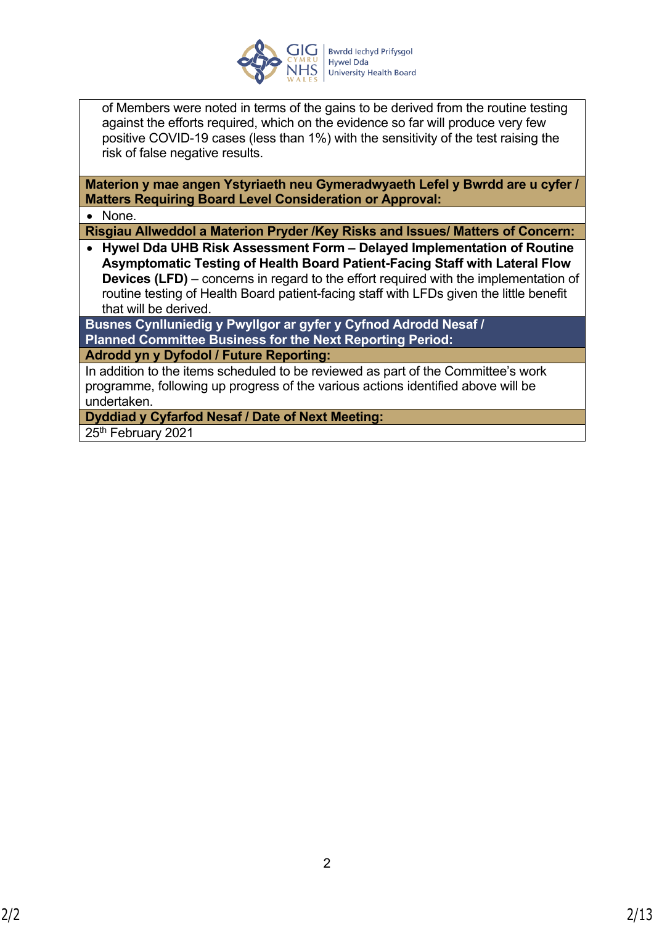

of Members were noted in terms of the gains to be derived from the routine testing against the efforts required, which on the evidence so far will produce very few positive COVID-19 cases (less than 1%) with the sensitivity of the test raising the risk of false negative results.

**Materion y mae angen Ystyriaeth neu Gymeradwyaeth Lefel y Bwrdd are u cyfer / Matters Requiring Board Level Consideration or Approval:**

• None.

**Risgiau Allweddol a Materion Pryder /Key Risks and Issues/ Matters of Concern:**

 **Hywel Dda UHB Risk Assessment Form – Delayed Implementation of Routine Asymptomatic Testing of Health Board Patient-Facing Staff with Lateral Flow Devices (LFD)** – concerns in regard to the effort required with the implementation of routine testing of Health Board patient-facing staff with LFDs given the little benefit that will be derived.

**Busnes Cynlluniedig y Pwyllgor ar gyfer y Cyfnod Adrodd Nesaf / Planned Committee Business for the Next Reporting Period: Adrodd yn y Dyfodol / Future Reporting:**

In addition to the items scheduled to be reviewed as part of the Committee's work programme, following up progress of the various actions identified above will be undertaken.

**Dyddiad y Cyfarfod Nesaf / Date of Next Meeting:**

25<sup>th</sup> February 2021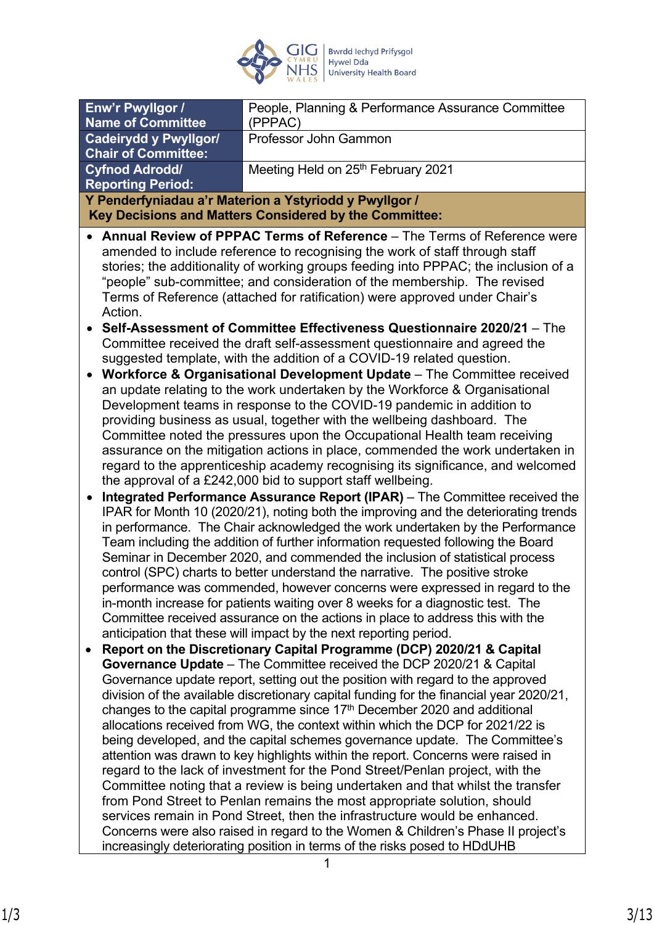

| Enw'r Pwyllgor /                                                                                                                                     | People, Planning & Performance Assurance Committee                                                                                                              |  |  |  |  |
|------------------------------------------------------------------------------------------------------------------------------------------------------|-----------------------------------------------------------------------------------------------------------------------------------------------------------------|--|--|--|--|
| <b>Name of Committee</b>                                                                                                                             | (PPPAC)                                                                                                                                                         |  |  |  |  |
| <b>Cadeirydd y Pwyllgor/</b>                                                                                                                         | Professor John Gammon                                                                                                                                           |  |  |  |  |
| <b>Chair of Committee:</b>                                                                                                                           |                                                                                                                                                                 |  |  |  |  |
| <b>Cyfnod Adrodd/</b><br><b>Reporting Period:</b>                                                                                                    | Meeting Held on 25th February 2021                                                                                                                              |  |  |  |  |
|                                                                                                                                                      | Y Penderfyniadau a'r Materion a Ystyriodd y Pwyllgor /                                                                                                          |  |  |  |  |
|                                                                                                                                                      | Key Decisions and Matters Considered by the Committee:                                                                                                          |  |  |  |  |
|                                                                                                                                                      | Annual Review of PPPAC Terms of Reference – The Terms of Reference were                                                                                         |  |  |  |  |
|                                                                                                                                                      | amended to include reference to recognising the work of staff through staff                                                                                     |  |  |  |  |
|                                                                                                                                                      | stories; the additionality of working groups feeding into PPPAC; the inclusion of a                                                                             |  |  |  |  |
|                                                                                                                                                      | "people" sub-committee; and consideration of the membership. The revised                                                                                        |  |  |  |  |
|                                                                                                                                                      | Terms of Reference (attached for ratification) were approved under Chair's                                                                                      |  |  |  |  |
| Action.                                                                                                                                              |                                                                                                                                                                 |  |  |  |  |
|                                                                                                                                                      | Self-Assessment of Committee Effectiveness Questionnaire 2020/21 - The                                                                                          |  |  |  |  |
|                                                                                                                                                      | Committee received the draft self-assessment questionnaire and agreed the                                                                                       |  |  |  |  |
| suggested template, with the addition of a COVID-19 related question.                                                                                |                                                                                                                                                                 |  |  |  |  |
|                                                                                                                                                      | Workforce & Organisational Development Update - The Committee received                                                                                          |  |  |  |  |
| an update relating to the work undertaken by the Workforce & Organisational<br>Development teams in response to the COVID-19 pandemic in addition to |                                                                                                                                                                 |  |  |  |  |
|                                                                                                                                                      | providing business as usual, together with the wellbeing dashboard. The                                                                                         |  |  |  |  |
|                                                                                                                                                      | Committee noted the pressures upon the Occupational Health team receiving                                                                                       |  |  |  |  |
|                                                                                                                                                      | assurance on the mitigation actions in place, commended the work undertaken in                                                                                  |  |  |  |  |
|                                                                                                                                                      | regard to the apprenticeship academy recognising its significance, and welcomed                                                                                 |  |  |  |  |
|                                                                                                                                                      | the approval of a £242,000 bid to support staff wellbeing.                                                                                                      |  |  |  |  |
| Integrated Performance Assurance Report (IPAR) - The Committee received the<br>$\bullet$                                                             |                                                                                                                                                                 |  |  |  |  |
|                                                                                                                                                      | IPAR for Month 10 (2020/21), noting both the improving and the deteriorating trends                                                                             |  |  |  |  |
|                                                                                                                                                      | in performance. The Chair acknowledged the work undertaken by the Performance                                                                                   |  |  |  |  |
|                                                                                                                                                      | Team including the addition of further information requested following the Board                                                                                |  |  |  |  |
|                                                                                                                                                      | Seminar in December 2020, and commended the inclusion of statistical process                                                                                    |  |  |  |  |
|                                                                                                                                                      | control (SPC) charts to better understand the narrative. The positive stroke                                                                                    |  |  |  |  |
|                                                                                                                                                      | performance was commended, however concerns were expressed in regard to the                                                                                     |  |  |  |  |
|                                                                                                                                                      | in-month increase for patients waiting over 8 weeks for a diagnostic test. The<br>Committee received assurance on the actions in place to address this with the |  |  |  |  |
|                                                                                                                                                      | anticipation that these will impact by the next reporting period.                                                                                               |  |  |  |  |
|                                                                                                                                                      | Report on the Discretionary Capital Programme (DCP) 2020/21 & Capital                                                                                           |  |  |  |  |
|                                                                                                                                                      | Governance Update - The Committee received the DCP 2020/21 & Capital                                                                                            |  |  |  |  |
|                                                                                                                                                      | Governance update report, setting out the position with regard to the approved                                                                                  |  |  |  |  |
|                                                                                                                                                      | division of the available discretionary capital funding for the financial year 2020/21,                                                                         |  |  |  |  |
|                                                                                                                                                      | changes to the capital programme since 17 <sup>th</sup> December 2020 and additional                                                                            |  |  |  |  |
|                                                                                                                                                      | allocations received from WG, the context within which the DCP for 2021/22 is                                                                                   |  |  |  |  |
|                                                                                                                                                      | being developed, and the capital schemes governance update. The Committee's                                                                                     |  |  |  |  |
|                                                                                                                                                      | attention was drawn to key highlights within the report. Concerns were raised in                                                                                |  |  |  |  |
|                                                                                                                                                      | regard to the lack of investment for the Pond Street/Penlan project, with the                                                                                   |  |  |  |  |
|                                                                                                                                                      | Committee noting that a review is being undertaken and that whilst the transfer<br>from Pond Street to Penlan remains the most appropriate solution, should     |  |  |  |  |
|                                                                                                                                                      | services remain in Pond Street, then the infrastructure would be enhanced.                                                                                      |  |  |  |  |
|                                                                                                                                                      | Concerns were also raised in regard to the Women & Children's Phase II project's                                                                                |  |  |  |  |
|                                                                                                                                                      | increasingly deteriorating position in terms of the risks posed to HDdUHB                                                                                       |  |  |  |  |
|                                                                                                                                                      | 1                                                                                                                                                               |  |  |  |  |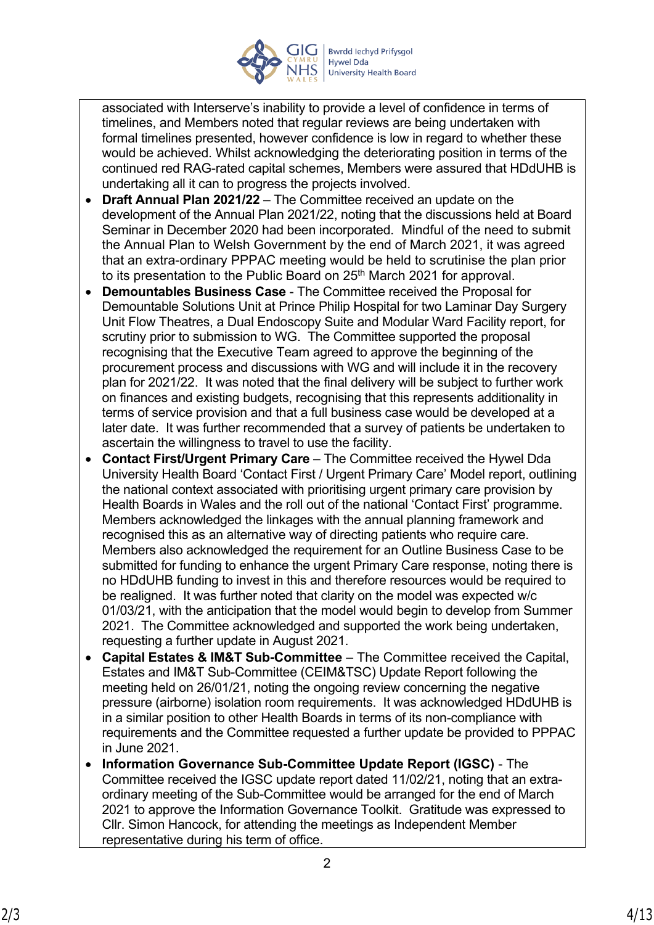

associated with Interserve's inability to provide a level of confidence in terms of timelines, and Members noted that regular reviews are being undertaken with formal timelines presented, however confidence is low in regard to whether these would be achieved. Whilst acknowledging the deteriorating position in terms of the continued red RAG-rated capital schemes, Members were assured that HDdUHB is undertaking all it can to progress the projects involved.

- **Draft Annual Plan 2021/22** The Committee received an update on the development of the Annual Plan 2021/22, noting that the discussions held at Board Seminar in December 2020 had been incorporated. Mindful of the need to submit the Annual Plan to Welsh Government by the end of March 2021, it was agreed that an extra-ordinary PPPAC meeting would be held to scrutinise the plan prior to its presentation to the Public Board on 25<sup>th</sup> March 2021 for approval.
- **Demountables Business Case** The Committee received the Proposal for Demountable Solutions Unit at Prince Philip Hospital for two Laminar Day Surgery Unit Flow Theatres, a Dual Endoscopy Suite and Modular Ward Facility report, for scrutiny prior to submission to WG. The Committee supported the proposal recognising that the Executive Team agreed to approve the beginning of the procurement process and discussions with WG and will include it in the recovery plan for 2021/22. It was noted that the final delivery will be subject to further work on finances and existing budgets, recognising that this represents additionality in terms of service provision and that a full business case would be developed at a later date. It was further recommended that a survey of patients be undertaken to ascertain the willingness to travel to use the facility.
- **Contact First/Urgent Primary Care** The Committee received the Hywel Dda University Health Board 'Contact First / Urgent Primary Care' Model report, outlining the national context associated with prioritising urgent primary care provision by Health Boards in Wales and the roll out of the national 'Contact First' programme. Members acknowledged the linkages with the annual planning framework and recognised this as an alternative way of directing patients who require care. Members also acknowledged the requirement for an Outline Business Case to be submitted for funding to enhance the urgent Primary Care response, noting there is no HDdUHB funding to invest in this and therefore resources would be required to be realigned. It was further noted that clarity on the model was expected w/c 01/03/21, with the anticipation that the model would begin to develop from Summer 2021. The Committee acknowledged and supported the work being undertaken, requesting a further update in August 2021.
- **Capital Estates & IM&T Sub-Committee** The Committee received the Capital, Estates and IM&T Sub-Committee (CEIM&TSC) Update Report following the meeting held on 26/01/21, noting the ongoing review concerning the negative pressure (airborne) isolation room requirements. It was acknowledged HDdUHB is in a similar position to other Health Boards in terms of its non-compliance with requirements and the Committee requested a further update be provided to PPPAC in June 2021.
- **Information Governance Sub-Committee Update Report (IGSC)** The Committee received the IGSC update report dated 11/02/21, noting that an extraordinary meeting of the Sub-Committee would be arranged for the end of March 2021 to approve the Information Governance Toolkit. Gratitude was expressed to Cllr. Simon Hancock, for attending the meetings as Independent Member representative during his term of office.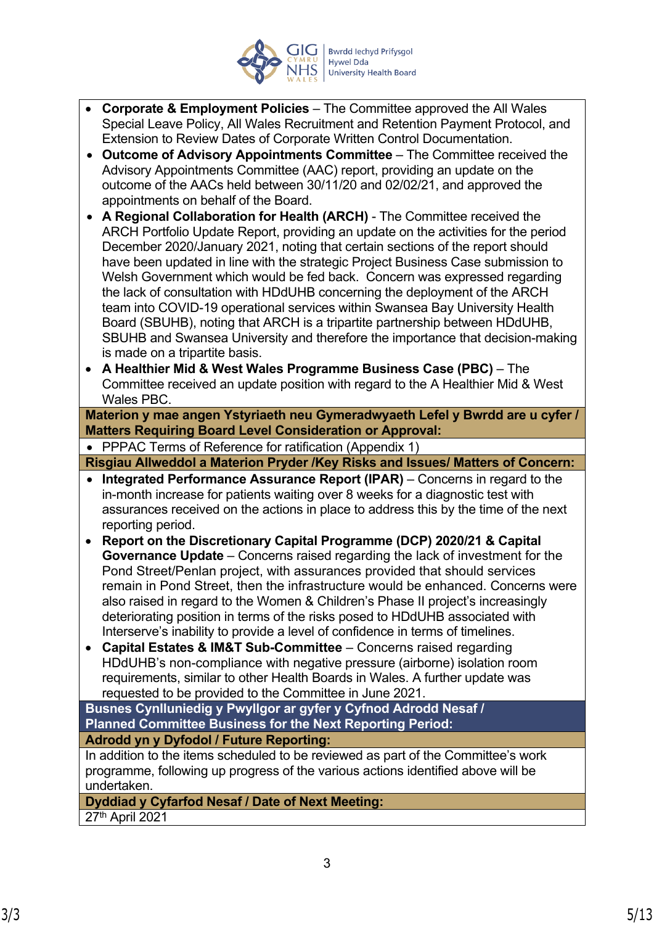

- **Corporate & Employment Policies**  The Committee approved the All Wales Special Leave Policy, All Wales Recruitment and Retention Payment Protocol, and Extension to Review Dates of Corporate Written Control Documentation.
- **Outcome of Advisory Appointments Committee** The Committee received the Advisory Appointments Committee (AAC) report, providing an update on the outcome of the AACs held between 30/11/20 and 02/02/21, and approved the appointments on behalf of the Board.
- **A Regional Collaboration for Health (ARCH)**  The Committee received the ARCH Portfolio Update Report, providing an update on the activities for the period December 2020/January 2021, noting that certain sections of the report should have been updated in line with the strategic Project Business Case submission to Welsh Government which would be fed back. Concern was expressed regarding the lack of consultation with HDdUHB concerning the deployment of the ARCH team into COVID-19 operational services within Swansea Bay University Health Board (SBUHB), noting that ARCH is a tripartite partnership between HDdUHB, SBUHB and Swansea University and therefore the importance that decision-making is made on a tripartite basis.
- **A Healthier Mid & West Wales Programme Business Case (PBC)**  The Committee received an update position with regard to the A Healthier Mid & West Wales PBC.

**Materion y mae angen Ystyriaeth neu Gymeradwyaeth Lefel y Bwrdd are u cyfer / Matters Requiring Board Level Consideration or Approval:**

• PPPAC Terms of Reference for ratification (Appendix 1)

**Risgiau Allweddol a Materion Pryder /Key Risks and Issues/ Matters of Concern:**

- **Integrated Performance Assurance Report (IPAR)** Concerns in regard to the in-month increase for patients waiting over 8 weeks for a diagnostic test with assurances received on the actions in place to address this by the time of the next reporting period.
- **Report on the Discretionary Capital Programme (DCP) 2020/21 & Capital Governance Update** – Concerns raised regarding the lack of investment for the Pond Street/Penlan project, with assurances provided that should services remain in Pond Street, then the infrastructure would be enhanced. Concerns were also raised in regard to the Women & Children's Phase II project's increasingly deteriorating position in terms of the risks posed to HDdUHB associated with Interserve's inability to provide a level of confidence in terms of timelines.
- **Capital Estates & IM&T Sub-Committee** Concerns raised regarding HDdUHB's non-compliance with negative pressure (airborne) isolation room requirements, similar to other Health Boards in Wales. A further update was requested to be provided to the Committee in June 2021.

**Busnes Cynlluniedig y Pwyllgor ar gyfer y Cyfnod Adrodd Nesaf / Planned Committee Business for the Next Reporting Period: Adrodd yn y Dyfodol / Future Reporting:**

In addition to the items scheduled to be reviewed as part of the Committee's work programme, following up progress of the various actions identified above will be undertaken.

**Dyddiad y Cyfarfod Nesaf / Date of Next Meeting:** 27th April 2021

3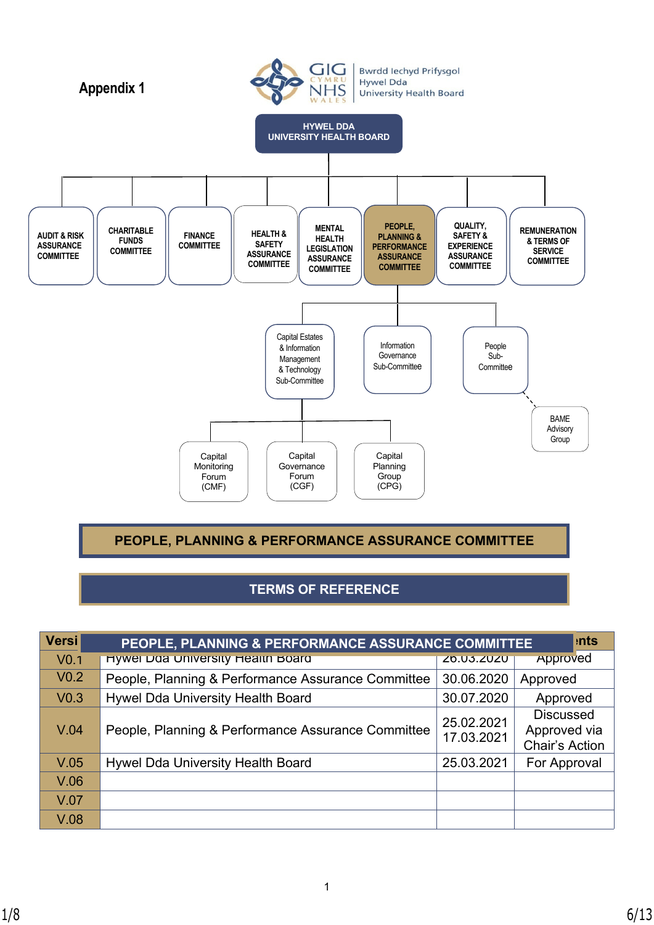

**PEOPLE, PLANNING & PERFORMANCE ASSURANCE COMMITTEE**

# **TERMS OF REFERENCE**

| <b>Versi</b>     | PEOPLE, PLANNING & PERFORMANCE ASSURANCE COMMITTEE |                          | <b>nts</b>                                                |
|------------------|----------------------------------------------------|--------------------------|-----------------------------------------------------------|
| V <sub>0.1</sub> | Hywel Daa University Health Board                  | <b>ZO.U3.ZUZU</b>        | Approved                                                  |
| V <sub>0.2</sub> | People, Planning & Performance Assurance Committee | 30.06.2020               | Approved                                                  |
| V <sub>0.3</sub> | Hywel Dda University Health Board                  | 30.07.2020               | Approved                                                  |
| V.04             | People, Planning & Performance Assurance Committee | 25.02.2021<br>17.03.2021 | <b>Discussed</b><br>Approved via<br><b>Chair's Action</b> |
| V.05             | Hywel Dda University Health Board                  | 25.03.2021               | For Approval                                              |
| V.06             |                                                    |                          |                                                           |
| V.07             |                                                    |                          |                                                           |
| V.08             |                                                    |                          |                                                           |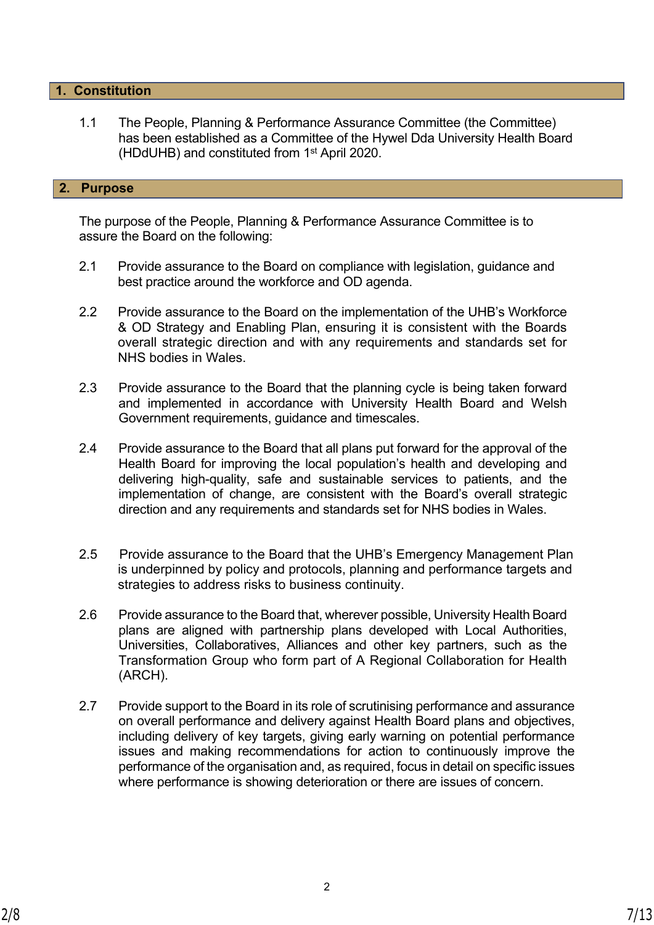## **1. Constitution**

1.1 The People, Planning & Performance Assurance Committee (the Committee) has been established as a Committee of the Hywel Dda University Health Board (HDdUHB) and constituted from 1st April 2020.

## **2. Purpose**

The purpose of the People, Planning & Performance Assurance Committee is to assure the Board on the following:

- 2.1 Provide assurance to the Board on compliance with legislation, guidance and best practice around the workforce and OD agenda.
- 2.2 Provide assurance to the Board on the implementation of the UHB's Workforce & OD Strategy and Enabling Plan, ensuring it is consistent with the Boards overall strategic direction and with any requirements and standards set for NHS bodies in Wales.
- 2.3 Provide assurance to the Board that the planning cycle is being taken forward and implemented in accordance with University Health Board and Welsh Government requirements, guidance and timescales.
- 2.4 Provide assurance to the Board that all plans put forward for the approval of the Health Board for improving the local population's health and developing and delivering high-quality, safe and sustainable services to patients, and the implementation of change, are consistent with the Board's overall strategic direction and any requirements and standards set for NHS bodies in Wales.
- 2.5 Provide assurance to the Board that the UHB's Emergency Management Plan is underpinned by policy and protocols, planning and performance targets and strategies to address risks to business continuity.
- 2.6 Provide assurance to the Board that, wherever possible, University Health Board plans are aligned with partnership plans developed with Local Authorities, Universities, Collaboratives, Alliances and other key partners, such as the Transformation Group who form part of A Regional Collaboration for Health (ARCH).
- 2.7 Provide support to the Board in its role of scrutinising performance and assurance on overall performance and delivery against Health Board plans and objectives, including delivery of key targets, giving early warning on potential performance issues and making recommendations for action to continuously improve the performance of the organisation and, as required, focus in detail on specific issues where performance is showing deterioration or there are issues of concern.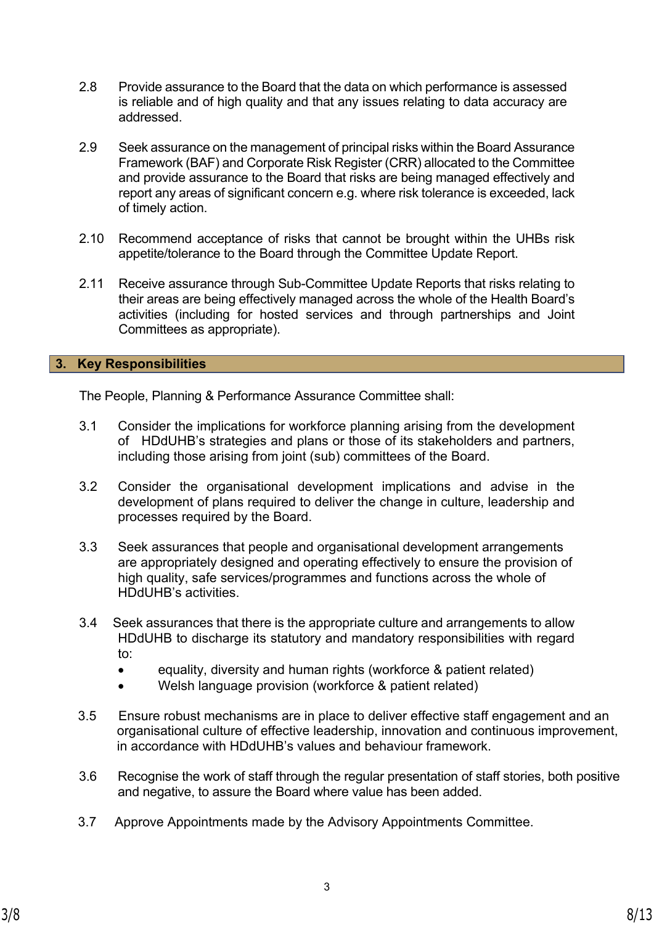- 2.8 Provide assurance to the Board that the data on which performance is assessed is reliable and of high quality and that any issues relating to data accuracy are addressed.
- 2.9 Seek assurance on the management of principal risks within the Board Assurance Framework (BAF) and Corporate Risk Register (CRR) allocated to the Committee and provide assurance to the Board that risks are being managed effectively and report any areas of significant concern e.g. where risk tolerance is exceeded, lack of timely action.
- 2.10 Recommend acceptance of risks that cannot be brought within the UHBs risk appetite/tolerance to the Board through the Committee Update Report.
- 2.11 Receive assurance through Sub-Committee Update Reports that risks relating to their areas are being effectively managed across the whole of the Health Board's activities (including for hosted services and through partnerships and Joint Committees as appropriate).

# **3. Key Responsibilities**

The People, Planning & Performance Assurance Committee shall:

- 3.1 Consider the implications for workforce planning arising from the development of HDdUHB's strategies and plans or those of its stakeholders and partners, including those arising from joint (sub) committees of the Board.
- 3.2 Consider the organisational development implications and advise in the development of plans required to deliver the change in culture, leadership and processes required by the Board.
- 3.3 Seek assurances that people and organisational development arrangements are appropriately designed and operating effectively to ensure the provision of high quality, safe services/programmes and functions across the whole of HDdUHB's activities.
- 3.4 Seek assurances that there is the appropriate culture and arrangements to allow HDdUHB to discharge its statutory and mandatory responsibilities with regard to:
	- equality, diversity and human rights (workforce & patient related)
	- Welsh language provision (workforce & patient related)
- 3.5 Ensure robust mechanisms are in place to deliver effective staff engagement and an organisational culture of effective leadership, innovation and continuous improvement, in accordance with HDdUHB's values and behaviour framework.
- 3.6 Recognise the work of staff through the regular presentation of staff stories, both positive and negative, to assure the Board where value has been added.
- 3.7 Approve Appointments made by the Advisory Appointments Committee.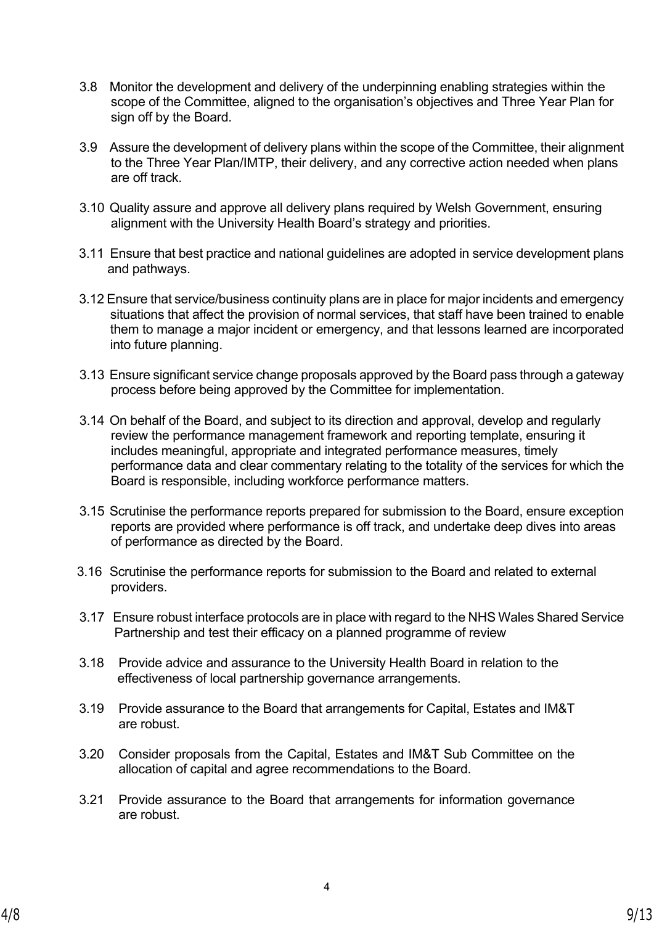- 3.8 Monitor the development and delivery of the underpinning enabling strategies within the scope of the Committee, aligned to the organisation's objectives and Three Year Plan for sign off by the Board.
- 3.9 Assure the development of delivery plans within the scope of the Committee, their alignment to the Three Year Plan/IMTP, their delivery, and any corrective action needed when plans are off track.
- 3.10 Quality assure and approve all delivery plans required by Welsh Government, ensuring alignment with the University Health Board's strategy and priorities.
- 3.11 Ensure that best practice and national guidelines are adopted in service development plans and pathways.
- 3.12 Ensure that service/business continuity plans are in place for major incidents and emergency situations that affect the provision of normal services, that staff have been trained to enable them to manage a major incident or emergency, and that lessons learned are incorporated into future planning.
- 3.13 Ensure significant service change proposals approved by the Board pass through a gateway process before being approved by the Committee for implementation.
- 3.14 On behalf of the Board, and subject to its direction and approval, develop and regularly review the performance management framework and reporting template, ensuring it includes meaningful, appropriate and integrated performance measures, timely performance data and clear commentary relating to the totality of the services for which the Board is responsible, including workforce performance matters.
- 3.15 Scrutinise the performance reports prepared for submission to the Board, ensure exception reports are provided where performance is off track, and undertake deep dives into areas of performance as directed by the Board.
- 3.16 Scrutinise the performance reports for submission to the Board and related to external providers.
- 3.17 Ensure robust interface protocols are in place with regard to the NHS Wales Shared Service Partnership and test their efficacy on a planned programme of review
- 3.18 Provide advice and assurance to the University Health Board in relation to the effectiveness of local partnership governance arrangements.
- 3.19 Provide assurance to the Board that arrangements for Capital, Estates and IM&T are robust.
- 3.20 Consider proposals from the Capital, Estates and IM&T Sub Committee on the allocation of capital and agree recommendations to the Board.
- 3.21 Provide assurance to the Board that arrangements for information governance are robust.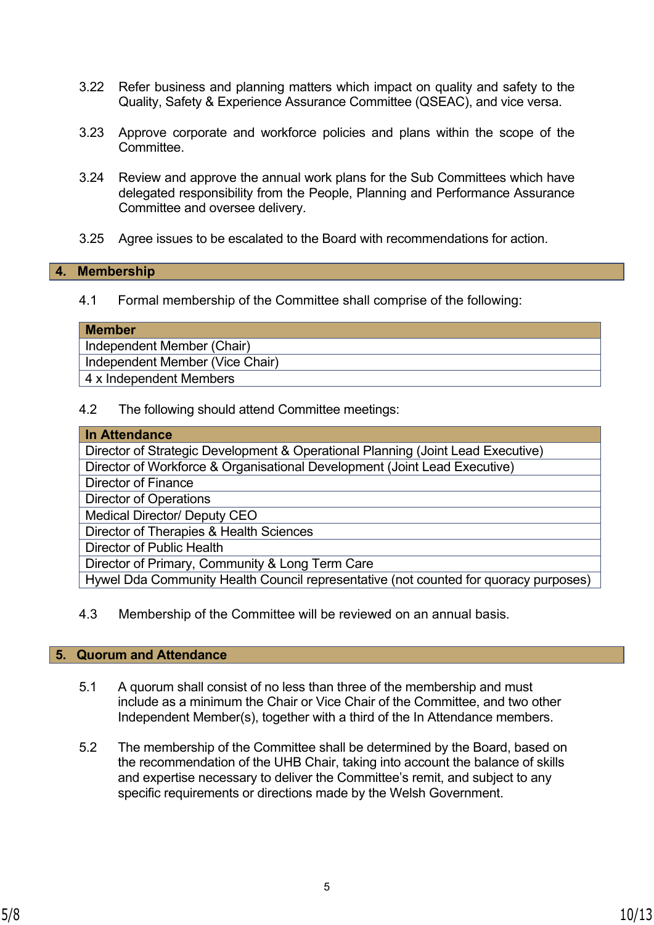- 3.22 Refer business and planning matters which impact on quality and safety to the Quality, Safety & Experience Assurance Committee (QSEAC), and vice versa.
- 3.23 Approve corporate and workforce policies and plans within the scope of the Committee.
- 3.24 Review and approve the annual work plans for the Sub Committees which have delegated responsibility from the People, Planning and Performance Assurance Committee and oversee delivery.
- 3.25 Agree issues to be escalated to the Board with recommendations for action.

#### **4. Membership**

4.1 Formal membership of the Committee shall comprise of the following:

#### **Member**

Independent Member (Chair)

Independent Member (Vice Chair)

4 x Independent Members

4.2 The following should attend Committee meetings:

| In Attendance                                                                        |  |  |
|--------------------------------------------------------------------------------------|--|--|
| Director of Strategic Development & Operational Planning (Joint Lead Executive)      |  |  |
| Director of Workforce & Organisational Development (Joint Lead Executive)            |  |  |
| Director of Finance                                                                  |  |  |
| <b>Director of Operations</b>                                                        |  |  |
| <b>Medical Director/ Deputy CEO</b>                                                  |  |  |
| Director of Therapies & Health Sciences                                              |  |  |
| Director of Public Health                                                            |  |  |
| Director of Primary, Community & Long Term Care                                      |  |  |
| Hywel Dda Community Health Council representative (not counted for quoracy purposes) |  |  |

4.3 Membership of the Committee will be reviewed on an annual basis.

## **5. Quorum and Attendance**

- 5.1 A quorum shall consist of no less than three of the membership and must include as a minimum the Chair or Vice Chair of the Committee, and two other Independent Member(s), together with a third of the In Attendance members.
- 5.2 The membership of the Committee shall be determined by the Board, based on the recommendation of the UHB Chair, taking into account the balance of skills and expertise necessary to deliver the Committee's remit, and subject to any specific requirements or directions made by the Welsh Government.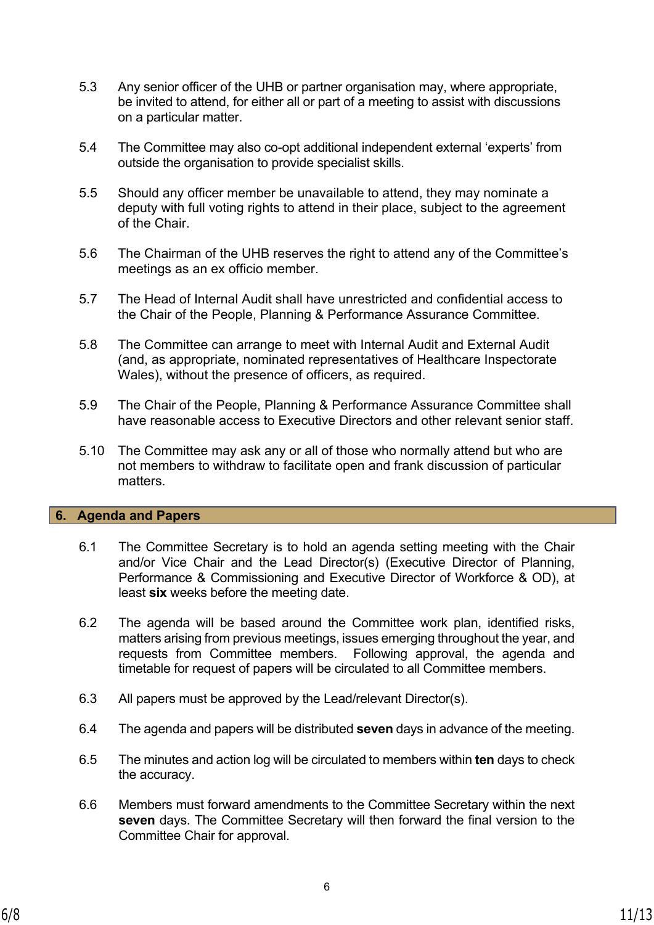- 5.3 Any senior officer of the UHB or partner organisation may, where appropriate, be invited to attend, for either all or part of a meeting to assist with discussions on a particular matter.
- 5.4 The Committee may also co-opt additional independent external 'experts' from outside the organisation to provide specialist skills.
- 5.5 Should any officer member be unavailable to attend, they may nominate a deputy with full voting rights to attend in their place, subject to the agreement of the Chair.
- 5.6 The Chairman of the UHB reserves the right to attend any of the Committee's meetings as an ex officio member.
- 5.7 The Head of Internal Audit shall have unrestricted and confidential access to the Chair of the People, Planning & Performance Assurance Committee.
- 5.8 The Committee can arrange to meet with Internal Audit and External Audit (and, as appropriate, nominated representatives of Healthcare Inspectorate Wales), without the presence of officers, as required.
- 5.9 The Chair of the People, Planning & Performance Assurance Committee shall have reasonable access to Executive Directors and other relevant senior staff.
- 5.10 The Committee may ask any or all of those who normally attend but who are not members to withdraw to facilitate open and frank discussion of particular matters.

## **6. Agenda and Papers**

- 6.1 The Committee Secretary is to hold an agenda setting meeting with the Chair and/or Vice Chair and the Lead Director(s) (Executive Director of Planning, Performance & Commissioning and Executive Director of Workforce & OD), at least **six** weeks before the meeting date.
- 6.2 The agenda will be based around the Committee work plan, identified risks, matters arising from previous meetings, issues emerging throughout the year, and requests from Committee members. Following approval, the agenda and timetable for request of papers will be circulated to all Committee members.
- 6.3 All papers must be approved by the Lead/relevant Director(s).
- 6.4 The agenda and papers will be distributed **seven** days in advance of the meeting.
- 6.5 The minutes and action log will be circulated to members within **ten** days to check the accuracy.
- 6.6 Members must forward amendments to the Committee Secretary within the next **seven** days. The Committee Secretary will then forward the final version to the Committee Chair for approval.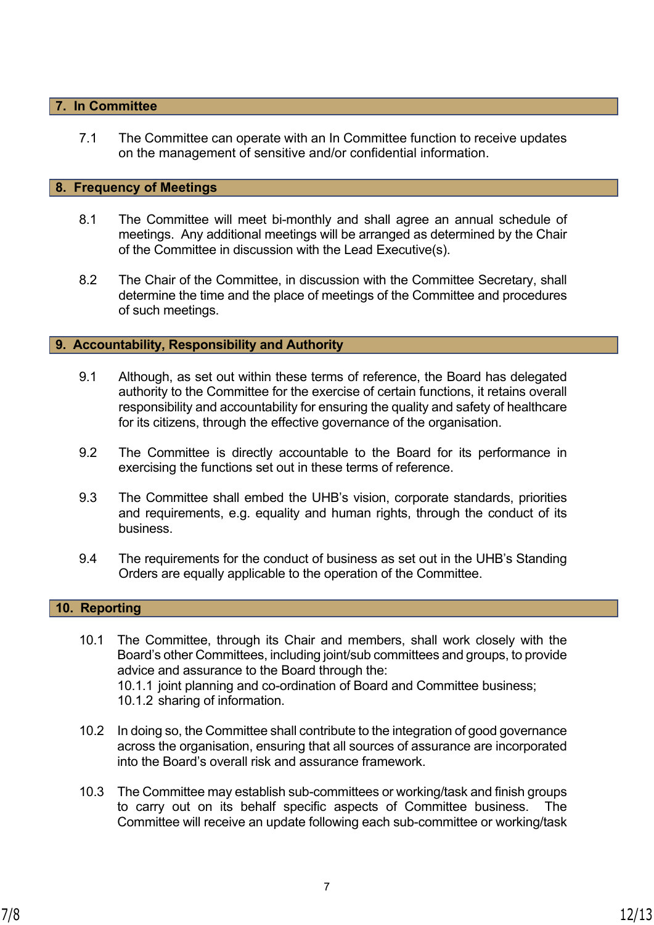## **7. In Committee**

7.1 The Committee can operate with an In Committee function to receive updates on the management of sensitive and/or confidential information.

#### **8. Frequency of Meetings**

- 8.1 The Committee will meet bi-monthly and shall agree an annual schedule of meetings. Any additional meetings will be arranged as determined by the Chair of the Committee in discussion with the Lead Executive(s).
- 8.2 The Chair of the Committee, in discussion with the Committee Secretary, shall determine the time and the place of meetings of the Committee and procedures of such meetings.

### **9. Accountability, Responsibility and Authority**

- 9.1 Although, as set out within these terms of reference, the Board has delegated authority to the Committee for the exercise of certain functions, it retains overall responsibility and accountability for ensuring the quality and safety of healthcare for its citizens, through the effective governance of the organisation.
- 9.2 The Committee is directly accountable to the Board for its performance in exercising the functions set out in these terms of reference.
- 9.3 The Committee shall embed the UHB's vision, corporate standards, priorities and requirements, e.g. equality and human rights, through the conduct of its business.
- 9.4 The requirements for the conduct of business as set out in the UHB's Standing Orders are equally applicable to the operation of the Committee.

## **10. Reporting**

- 10.1 The Committee, through its Chair and members, shall work closely with the Board's other Committees, including joint/sub committees and groups, to provide advice and assurance to the Board through the: 10.1.1 joint planning and co-ordination of Board and Committee business; 10.1.2 sharing of information.
- 10.2 In doing so, the Committee shall contribute to the integration of good governance across the organisation, ensuring that all sources of assurance are incorporated into the Board's overall risk and assurance framework.
- 10.3 The Committee may establish sub-committees or working/task and finish groups to carry out on its behalf specific aspects of Committee business. The Committee will receive an update following each sub-committee or working/task